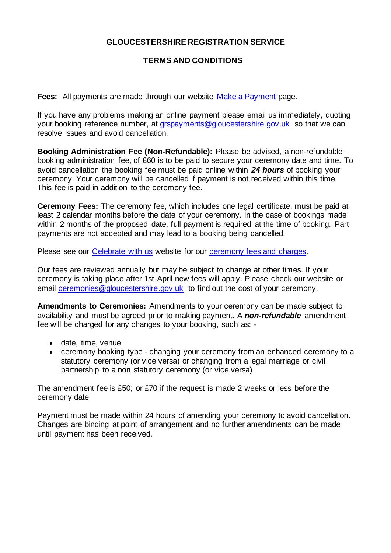# **GLOUCESTERSHIRE REGISTRATION SERVICE**

# **TERMS AND CONDITIONS**

**Fees:** All payments are made through our website [Make a Payment](https://gloucestershireregistrationservice.co.uk/make-a-payment/) page.

If you have any problems making an online payment please email us immediately, quoting your booking reference number, at [grspayments@gloucestershire.gov.uk](mailto:grspayments@gloucestershire.gov.uk) so that we can resolve issues and avoid cancellation.

**Booking Administration Fee (Non-Refundable):** Please be advised, a non-refundable booking administration fee, of £60 is to be paid to secure your ceremony date and time. To avoid cancellation the booking fee must be paid online within *24 hours* of booking your ceremony. Your ceremony will be cancelled if payment is not received within this time. This fee is paid in addition to the ceremony fee.

**Ceremony Fees:** The ceremony fee, which includes one legal certificate, must be paid at least 2 calendar months before the date of your ceremony. In the case of bookings made within 2 months of the proposed date, full payment is required at the time of booking. Part payments are not accepted and may lead to a booking being cancelled.

Please see our [Celebrate with us](https://www.gloucestershireregistrationservice.co.uk/) website for our [ceremony fees and charges.](https://www.gloucestershireregistrationservice.co.uk/your-ceremony/ceremony-fees/)

Our fees are reviewed annually but may be subject to change at other times. If your ceremony is taking place after 1st April new fees will apply. Please check our website or email [ceremonies@gloucestershire.gov.uk](mailto:ceremonies@gloucestershire.gov.uk) to find out the cost of your ceremony.

**Amendments to Ceremonies:** Amendments to your ceremony can be made subject to availability and must be agreed prior to making payment. A *non-refundable* amendment fee will be charged for any changes to your booking, such as: -

- date, time, venue
- ceremony booking type changing your ceremony from an enhanced ceremony to a statutory ceremony (or vice versa) or changing from a legal marriage or civil partnership to a non statutory ceremony (or vice versa)

The amendment fee is £50; or £70 if the request is made 2 weeks or less before the ceremony date.

Payment must be made within 24 hours of amending your ceremony to avoid cancellation. Changes are binding at point of arrangement and no further amendments can be made until payment has been received.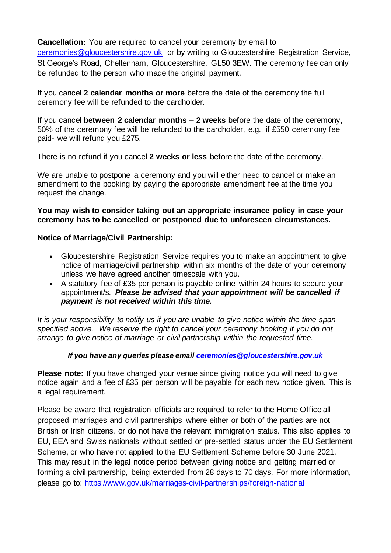**Cancellation:** You are required to cancel your ceremony by email to [ceremonies@gloucestershire.gov.uk](mailto:ceremonies@gloucestershire.gov.uk) or by writing to Gloucestershire Registration Service, St George's Road, Cheltenham, Gloucestershire. GL50 3EW. The ceremony fee can only be refunded to the person who made the original payment.

If you cancel **2 calendar months or more** before the date of the ceremony the full ceremony fee will be refunded to the cardholder.

If you cancel **between 2 calendar months – 2 weeks** before the date of the ceremony, 50% of the ceremony fee will be refunded to the cardholder, e.g., if £550 ceremony fee paid- we will refund you £275.

There is no refund if you cancel **2 weeks or less** before the date of the ceremony.

We are unable to postpone a ceremony and you will either need to cancel or make an amendment to the booking by paying the appropriate amendment fee at the time you request the change.

## **You may wish to consider taking out an appropriate insurance policy in case your ceremony has to be cancelled or postponed due to unforeseen circumstances.**

## **Notice of Marriage/Civil Partnership:**

- Gloucestershire Registration Service requires you to make an appointment to give notice of marriage/civil partnership within six months of the date of your ceremony unless we have agreed another timescale with you.
- A statutory fee of £35 per person is payable online within 24 hours to secure your appointment/s. *Please be advised that your appointment will be cancelled if payment is not received within this time.*

*It is your responsibility to notify us if you are unable to give notice within the time span specified above. We reserve the right to cancel your ceremony booking if you do not arrange to give notice of marriage or civil partnership within the requested time.*

### *If you have any queries please email [ceremonies@gloucestershire.gov.uk](mailto:ceremonies@gloucestershire.gov.uk)*

**Please note:** If you have changed your venue since giving notice you will need to give notice again and a fee of £35 per person will be payable for each new notice given. This is a legal requirement.

Please be aware that registration officials are required to refer to the Home Office all proposed marriages and civil partnerships where either or both of the parties are not British or Irish citizens, or do not have the relevant immigration status. This also applies to EU, EEA and Swiss nationals without settled or pre-settled status under the EU Settlement Scheme, or who have not applied to the EU Settlement Scheme before 30 June 2021. This may result in the legal notice period between giving notice and getting married or forming a civil partnership, being extended from 28 days to 70 days. For more information, please go to:<https://www.gov.uk/marriages-civil-partnerships/foreign-national>